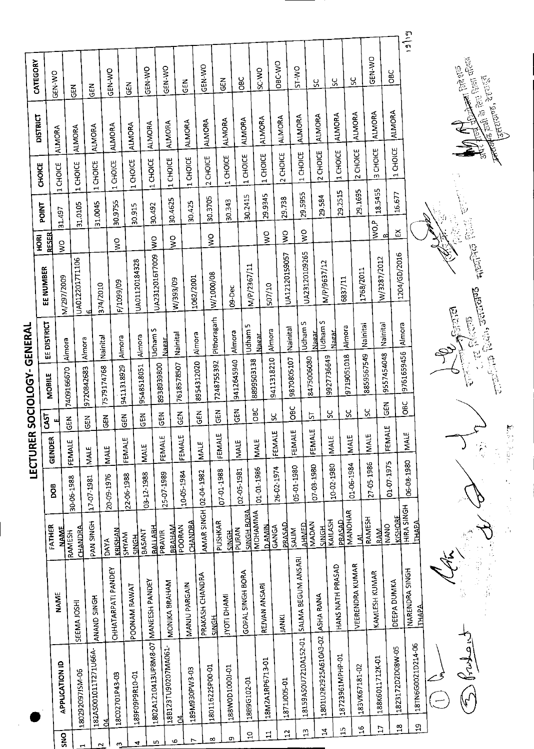|                |                                     |                         |                                 |                       | LECTURER      |               | SOCIOLOGY-GENERAL |                               |                            |                           |         |          |                                                   |                               |       |
|----------------|-------------------------------------|-------------------------|---------------------------------|-----------------------|---------------|---------------|-------------------|-------------------------------|----------------------------|---------------------------|---------|----------|---------------------------------------------------|-------------------------------|-------|
|                |                                     |                         |                                 |                       |               | <b>GAST</b>   |                   | EE DISTRICT                   | EE NUMBER                  | <b>ROKI</b>               | POINT   | CHOICE   | <b>DISTRICT</b>                                   | CATEGORY                      |       |
| $\frac{5}{2}$  | APPLICATION ID                      | <b>NAME</b>             | FATHER<br><b>NAME</b>           | DOB                   | <b>GENDER</b> |               | MOBILE            |                               | N/297/2009                 | <b>RESER</b><br>Š         | 31.497  | 1 CHOICE | <b>ALMORA</b>                                     | GEN-WO                        |       |
|                | 180292097JSM-06                     | SEEMA JOSHI             | <b>CHANDRA</b><br><b>RAMESH</b> | 30-06-1988            | FEMALE        | $rac{2}{5}$   | 7409166670        | Almora                        | UA0122017T1106             |                           | 31.0105 | 1 CHOICE | <b>ALMORA</b>                                     | 띥                             |       |
|                | 182AS001011T271U66A-                |                         | PAN SINGH                       | 17-07-1981            | <b>MALE</b>   | $\tilde{E}$   | 9720842683        | Almora                        |                            |                           |         |          | ALMORA                                            | <b>IGEN</b>                   |       |
|                | 곜                                   | ANAND SINGH             | <b>DAYA</b>                     | 20-09-1976            | <b>MALE</b>   | $\frac{2}{5}$ | 7579174768        | Nainital                      | 374/2010                   |                           | 31.0045 | 1 CHOICE |                                                   |                               |       |
| S              | 18C02701P43-03                      | CHHATARPATI PANDEY      | KRISHAN                         |                       |               | GEN           | 9411318929        | Almora                        | F/1099/09                  | $\mathsf{S}^{\mathsf{O}}$ | 30.9755 | 1 CHOICE | ALMORA                                            | GEN-WO                        |       |
| 4              | 189F09P9R10-01                      | POONAM RAWAT            | SHYAM<br><b>HONCH</b>           | 22-06-1988            | FEMALE        |               | 9548518051        | Almora                        | UA01120184328              |                           | 30.915  | 1 CHOICE | ALMORA                                            | $\frac{2}{9}$                 |       |
| m,             | 1802A1210413UP8M8-07 MANEESH PANDEY |                         | मधराणि<br><b>BASANT</b>         | 03-12-1988            | MALE          | $\frac{2}{5}$ |                   | Udham S                       | UA2312016T7009             | $\mathsf{S}^{\mathsf{O}}$ | 30.492  | 1 CHOICE | <b>ALMORA</b>                                     | GEN-WO                        |       |
| Φ              | 18B123TU90207MA061-                 | MONIKA BRAHAM           | <b>DRAHAM</b><br>PRAVIR         | 25-07-1989            | FEMALE        | $\frac{2}{5}$ | 008668868         | Nainital<br>Nagar.            | W/393/09                   | $\sum_{i=1}^{n}$          | 304625  | 1 CHOICE | ALMORA                                            | GEN-WO                        |       |
|                | ED-EW930PW3-03<br>경                 | MANJU PARGAIN           | <b>CHANDRA</b><br>POORAN        | 10-05-1984            | <b>FEMALE</b> | GEN           | 7618578507        |                               | 1062/2001                  |                           | 30.425  | 1 CHOICE | ALMORA                                            | $rac{2}{9}$                   |       |
|                |                                     | PRAKASH CHANDRA         |                                 | AMAR SINGH 02-04-1982 | <b>IMALE</b>  | $\frac{z}{9}$ | 8954312020        | Almora                        |                            |                           |         | 2 CHOICE | <b>ALMORA</b>                                     | GEN-WO                        |       |
| ∞              | 180116225P00-01                     | <b>HONS</b>             | PUSHKAR                         | 07-01-1988            | <b>FEMALE</b> | 딚             | 7248755392        | Pithoragarh                   | W/1000/08                  | $\frac{8}{5}$             | 30.3705 |          |                                                   | 집                             |       |
| o              | 188W0D1000J-01                      | <b>INAHOTI DHAMI</b>    | PURAN<br><b>HDNS</b>            | 02-05-1981            | <b>MALE</b>   | <b>GEN</b>    | 9412645940        | Almora                        | 09-Dec                     |                           | 30.343  | 1 CHOICE | ALMORA                                            |                               |       |
| $\overline{a}$ | 1889G102-01                         | GOPAL SINGH BORA        | <b>ANGH BORA</b><br>MOHAMMA     |                       | MALE          | <b>DEC</b>    | 8899503138        | m<br>Udham!                   | M/P/2367/11                |                           | 30.2415 | 1 CHOICE | <b>ALMORA</b>                                     | <b>BC</b>                     |       |
| ;;             | 18M2A1RP6713-01                     | REJVAN ANSARI           | <b>D_AMIN</b>                   | 01-01-1986            |               |               |                   | Almora<br><b>Nasar</b>        | 507/10                     | $\frac{0}{2}$             | 29.9345 | 1 CHOICE | ALMORA                                            | SC-WO                         |       |
| $\mathbf{a}$   | 18711005-01                         | <b>JANKI</b>            | <b>DRASAD</b><br><b>GANGA</b>   | 26-02-1974            | FEMALE        | న             | 9411318210        |                               | UA12120159057              | S                         | 29.738  | 2 CHOICE | ALMORA                                            | OBC-WO                        |       |
| $\mathbf{u}$   | 18159ASOU7210A152-01                | SALMA BEGUM ANSARI      | <b>AHMED</b><br>SALIM           | 05-10-20              | <b>FEMALE</b> | ĞС            | 9870805107        | <b>Udham S</b><br>Nainital    | UA23120109265              | $\geq$                    | 29.5955 | 1 CHOICE | ALMORA                                            | <b>OW-IS</b>                  |       |
| $\mathbf{z}$   | 1801U2R2925A610A3-02                | ASHA RANA               | MADAN<br>대해                     | 07-03-1980            | FEMALE        | ᇅ             | 8475006080        | Udham S<br>Nagar              | M/P/9637/12                |                           | 29.584  | 2 CHOICE | ALMORA                                            | SC.                           |       |
|                | 18723961MPHP-01                     | HANS NATH PRASAD        | KAILASH<br>DRASAD               | 10-02-1980            | MALE          | ပ္တ           | 9927736649        | Nagar                         |                            |                           | 29.2515 | 1 CHOICE | <b>ALMORA</b>                                     | ပ္တ                           |       |
|                | $\frac{1}{1}$                       | <b>VEERENDRA KUMAR</b>  | MANOHAR                         | 01-06-1984            | <b>IMALE</b>  | ပ္ပ           | 9719051018        | Almora                        | 6837/11                    |                           |         | 2 CHOICE | <b>ALMORA</b>                                     | ς                             |       |
|                | 183VK67181-02<br>$\overline{a}$     |                         | RAMESH<br>₹                     | 27-05-1986            | <b>IMALE</b>  | ပ္တ           | 8859567549        | Nainital                      | 1768/2011                  |                           | 29.1695 |          |                                                   | GEN-WO                        |       |
|                | 188K6011712K-01<br>Ħ                | KAMLESH KUMAR           | <b>NANO</b><br><b>RAM.</b>      | 01-07-1975            | FEMALE        | <b>GEN</b>    | 9557454048        | Nainital                      | W/3287/2012                | WO,P<br>B                 | 18.5455 | 3 CHOICE | ALMORA                                            |                               |       |
|                | 1823172D2D08W-05<br>$\frac{8}{11}$  | DEEPA DUMKA             | HIRA SINGH<br>KISHORE           |                       | <b>IMALE</b>  | <b>OBC</b>    | 9761659456        | Almora                        | 1204/GD/2016               | ద                         | 16.677  | 1 CHOICE | ALMORA                                            | <b>OBC</b>                    |       |
|                | 18TN6G0021D214-06<br>의              | NARENDRA SINGH<br>ТНАРА | <b>THAPA</b>                    | 06-08-1980            |               |               |                   |                               |                            |                           |         |          |                                                   |                               | 5(51) |
|                |                                     |                         |                                 |                       |               |               |                   |                               |                            |                           |         |          |                                                   |                               |       |
|                | John                                |                         |                                 |                       |               |               |                   | <b>Collage Company</b><br>医阴极 | <b>There</b> for the first |                           |         |          | $\sum_{i=1}^{n} a_i$                              | 富富尼<br><b>College College</b> |       |
|                |                                     | 医动脉瘤                    | 心の                              |                       |               |               |                   |                               |                            |                           |         |          | <b>Antured, accurat</b><br><b>Anders</b> and a re |                               |       |

l,

|酸塩||保留||保留||2000年||2000年||2000年|  $\frac{1}{2}$ 

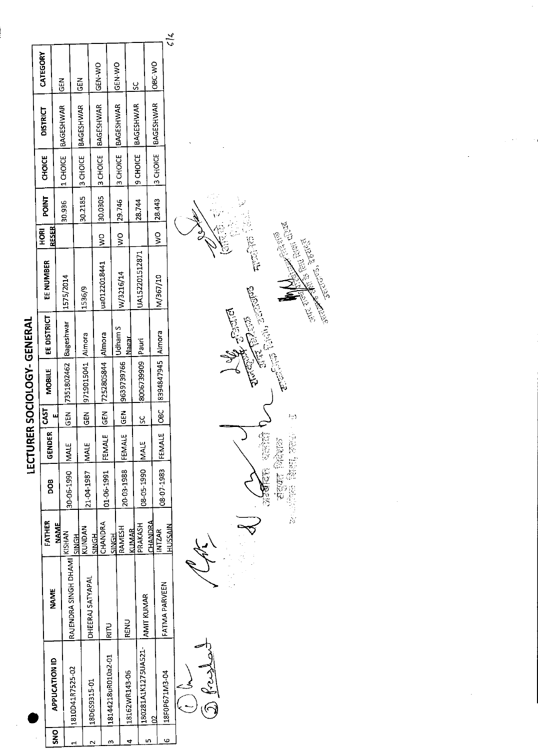|            |                     |                               |               |                    |               |               | LECTURER SOCIOLOGY- GENERAL  |             |                |                 |         |               |                              |                |
|------------|---------------------|-------------------------------|---------------|--------------------|---------------|---------------|------------------------------|-------------|----------------|-----------------|---------|---------------|------------------------------|----------------|
|            |                     | NAME                          | FATHER        | 8<br>Do            | <b>GENDER</b> | <b>GAST</b>   | <b>MOBILE</b>                | EE DISTRICT | EE NUMBER      | RFSER<br>혼<br>모 | POINT   | <b>CHOICE</b> | <b>DISTRICT</b>              | CATEGORY       |
| <b>DNS</b> | APPLICATION ID      |                               | <b>NAME</b>   |                    |               |               |                              |             |                |                 |         |               |                              | <b>N35</b>     |
|            | 1810D41R7525-02     | RAJENDRA SINGH DHAMI   KISHAN |               | 30-06-1990   MALE  |               |               | GEN   7351802462   Bageshwar |             | 1575/2014      |                 | 30.936  |               | 1 CHOICE BAGESHWAR           |                |
|            |                     |                               | <b>HDMIS</b>  |                    |               |               |                              |             |                |                 |         |               | 3 CHOICE BAGESHWAR           | $\frac{5}{6}$  |
|            | 18D6S9315-01        | DHEERAJ SATYAPAL              | KUNDAN        | 21-04-1987         | <b>MALE</b>   | $rac{2}{5}$   | 9719015041   Almora          |             | 1536/9         |                 | 30.2185 |               |                              |                |
|            |                     |                               | SINGH         |                    |               |               |                              |             |                |                 |         |               | 30.0305  3 CHOICE  BAGESHWAR | ON-Y-R         |
|            |                     | <b>Lilis</b>                  | CHANDRA       | 01-06-1991  FEMALE |               |               | GEN 17252805844 Almora       |             | ua0122018441   | $\frac{1}{2}$   |         |               |                              |                |
|            | 18144218uR010a2-01  |                               | <b>SINGH</b>  |                    |               |               |                              |             |                |                 |         |               |                              | <b>ON-N351</b> |
|            |                     | RENU                          | RAMESH        | 20-03-1988         | <b>FEMALE</b> | $rac{5}{3}$   | 9639739766                   | Udham S     | W/3216/14      | $\frac{1}{2}$   | 29.746  |               | 3 CHOICE BAGESHWAR           |                |
|            | 18162WR143-06       |                               | KUMAR         |                    |               |               |                              | Nasar       |                |                 |         |               | 19 CHOICE BAGESHWAR          | <u>ي</u>       |
|            | 180281A1K1275UA521- | AMIT KUMAR                    | PRAKASH       | 08-05-1990   MALE  |               | <u>ს</u><br>ს | B006739909 Pauri             |             | UA152201512871 |                 | 28.744  |               |                              |                |
|            |                     |                               | CHANDRA       |                    |               |               |                              |             |                |                 |         | 3 CHOICE      | BAGESHWAR                    | ORC-WO         |
| G          | 18F0P671M3-04       | FATMA PARVEEN                 | <b>INTZAR</b> | 08-07-1983 FEMALE  |               | $rac{6}{6}$   | 8394847945 Almora            |             | M/367/10       | $\frac{1}{2}$   | 28.443  |               |                              |                |
|            |                     |                               | HUSSAIN       |                    |               |               |                              |             |                |                 |         |               |                              | $\frac{6}{6}$  |



Co Res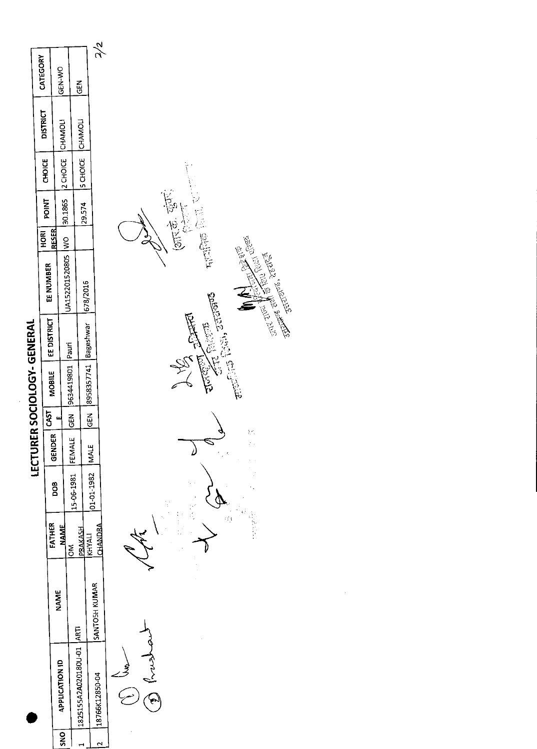|             |                           |               |                 |                     |       |                        | LECTURER SOCIOLOGY- GENERAL         |                                                |       |                |                             |                 |               |
|-------------|---------------------------|---------------|-----------------|---------------------|-------|------------------------|-------------------------------------|------------------------------------------------|-------|----------------|-----------------------------|-----------------|---------------|
|             |                           |               |                 |                     |       |                        |                                     |                                                | HOR   | POINT   CHOICE |                             | <b>DISTRICT</b> | CATEGORY      |
|             |                           |               | FATHER          |                     | (950) |                        |                                     | MOBILE   EE DISTRICT   EE NUMBER               | RESER |                |                             |                 |               |
|             | APPLICATION ID            | NAME          |                 | 80g                 |       |                        |                                     |                                                |       |                |                             |                 | GEN-WO        |
| $rac{1}{2}$ |                           |               | <b>NAME</b>     |                     |       |                        |                                     | 1/2 CHOICE   VIO   30.1865   2 CHOICE   CHANOL |       |                |                             |                 |               |
|             |                           |               |                 | '15-06-1981  FEMALE |       | IGEN  9634419801 Pauri |                                     |                                                |       |                |                             |                 |               |
|             | 1784 10-U0810SQA255555551 |               | <b>HISPARE.</b> |                     |       |                        |                                     |                                                |       |                | 129.574  S CHOICE   CHAMOLI |                 | $\frac{2}{9}$ |
|             |                           |               | KHYALI          |                     |       |                        | IGEN 8958357741 Bageshwar 1678/2016 |                                                |       |                |                             |                 |               |
|             | 18766K12850-04            | SANTOSH KUMAR |                 | 01-01-1982   MALE   |       |                        |                                     |                                                |       |                |                             |                 |               |
|             |                           |               | <b>AROMAHO</b>  |                     |       |                        |                                     |                                                |       |                |                             |                 | $\frac{2}{2}$ |
|             |                           |               |                 |                     |       |                        |                                     |                                                |       |                |                             |                 |               |

Eny C فسيم

(未来, 雪下) TEN RICH CREEK 高 **ARCHITE** STEE BRITTING **CONS**  $\label{eq:4} \frac{1}{\sqrt{2\pi}}\int_{0}^{\infty} \frac{1}{\sqrt{2\pi}}\int_{0}^{\infty} \frac{1}{\sqrt{2\pi}}\int_{0}^{\infty} \frac{1}{\sqrt{2\pi}}\frac{1}{\sqrt{2\pi}}\frac{1}{\sqrt{2\pi}}\frac{1}{\sqrt{2\pi}}\frac{1}{\sqrt{2\pi}}\frac{1}{\sqrt{2\pi}}\frac{1}{\sqrt{2\pi}}\frac{1}{\sqrt{2\pi}}\frac{1}{\sqrt{2\pi}}\frac{1}{\sqrt{2\pi}}\frac{1}{\sqrt{2\pi}}\frac{1}{\sqrt{2\pi}}\frac{$ SS)<br>V ្ងំ<br>ស្ an<br>Ro Z  $\lambda$  $\oint$ ł, Ý.

JENTRY E.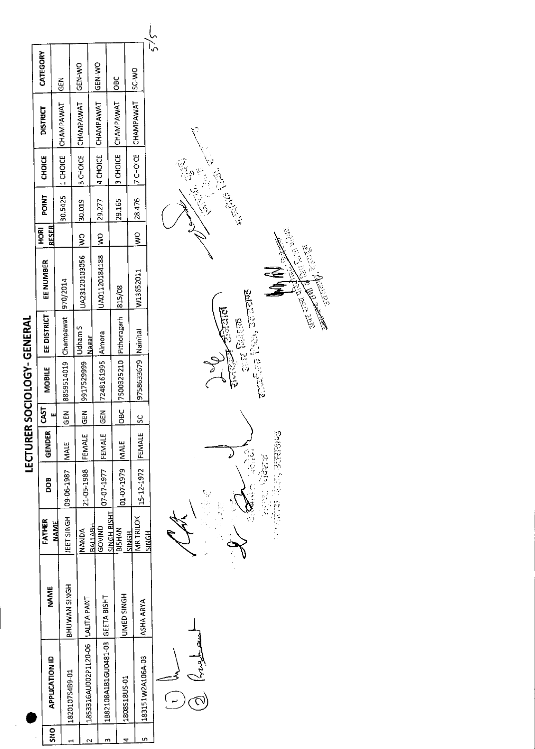|          |                                   |                   |                           |                                | <b>LECTURER</b> |          | SOCIOLOGY-GENERAL     |                                      |                                                        |               |              |        |                                     |               |
|----------|-----------------------------------|-------------------|---------------------------|--------------------------------|-----------------|----------|-----------------------|--------------------------------------|--------------------------------------------------------|---------------|--------------|--------|-------------------------------------|---------------|
| o<br>Sko | <b>APPLICATION ID</b>             | <b>NAME</b>       | FATHER                    | 8OQ                            | <b>GENDER</b>   | 55       |                       | MOBILE   EE DISTRICT                 | EE NUMBER                                              | RFSER<br>HORI | <b>POINT</b> | CHOICE | <b>DISTRICT</b>                     | CATEGORY      |
|          | 1820107S4B9-01                    | BHUWAN SINGH      | <b>NAME</b>               | IEET SINGH   09-06-1987   MALE |                 |          |                       | EEN 8859514019 Champawat 970/2014    |                                                        |               |              |        | 30.5425  1 CHOICE CHAMPAWAT GEN     |               |
|          |                                   |                   |                           |                                |                 |          |                       |                                      |                                                        |               |              |        |                                     |               |
|          | 1853316AU002P1L20-06  LALITA PANT |                   | <b>NANDA</b>              | 21-05-1988                     | <b>IFEMALE</b>  |          | GEN  9917529999       | Udham S<br>Nagar                     | UA23120103056  WO  30.019  3 CHOICE  CHAMPAWAT  GEN-WO |               |              |        |                                     |               |
|          |                                   |                   | BALLABH.<br>GOVIND        | 07-07-1977 FEMALE              |                 |          | GEN 7248161995 Almora |                                      | UA01120184188  WO  29.277  4 CHOICE  CHAMPAWAT  GEN-WO |               |              |        |                                     |               |
|          | 1882108A1B1GU0481-03 GEETA BISHT  |                   | <b>SINGH BISHT</b>        |                                |                 |          |                       |                                      |                                                        |               |              |        |                                     |               |
|          | 1808S18US-01                      | <b>UMED SINGH</b> | <b>BISHAN</b>             | 01-07-1979   MALE              |                 |          |                       | OBC  7500325210  Pithoragarh  815/08 |                                                        |               | 29.165       |        | 3 CHOICE CHAMPAWAT   OBC            |               |
|          |                                   |                   | MR TRILOK<br><b>SINGH</b> |                                |                 |          |                       |                                      |                                                        |               |              |        | WO 28.476  7 CHOICE CHAMPAWAT SC-WO |               |
|          | 183151W2A106A-03                  | IASHA ARYA        | SINGH                     | 15-12-1972   FEMALE            |                 | <u>ა</u> | 9758633679   Nainital |                                      | W13652011                                              |               |              |        |                                     |               |
|          |                                   |                   |                           |                                |                 |          |                       |                                      |                                                        |               |              |        |                                     | $\frac{5}{5}$ |

 $\bigcirc$ 

 $\frac{\partial \mathbf{f}(\mathbf{x},t)}{\partial \mathbf{x}^{(1)}_{\text{rel}}\cdot \mathbf{x}^{(2)}_{\text{rel}}\cdot \mathbf{x}^{(3)}_{\text{rel}}\cdot \mathbf{x}^{(4)}_{\text{rel}}}}$ δ 投票



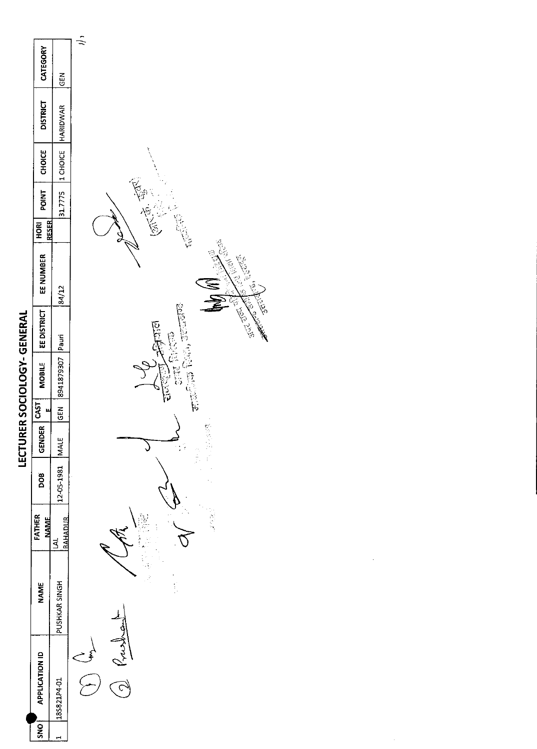| i |
|---|
|   |
|   |
|   |
|   |
|   |
|   |
|   |
|   |
| ī |
|   |
| I |
|   |
|   |
|   |
|   |

| <b>THAINING - DOIDINN SULD - JIT</b> | CATEGORY<br><b>DISTRICT</b><br><b>CHOICE</b><br><b>TNIDA</b><br><b>RESER</b><br><b>ROKI</b><br>EE NUMBER<br>EE DISTRICT<br><b>MOBILE</b><br>u | <b>GEN</b><br>31.7775  1 CHOICE  HARIDWAR<br>84/12<br>Pauri T05678744488 | $\frac{1}{2}$<br>Contraction Contraction<br>一个小小<br>Contractor<br><b>Bolivin</b><br><b>Bilther</b><br><b>CHECKER ENGINE</b><br>一原始情报<br>o<br>Fo |
|--------------------------------------|-----------------------------------------------------------------------------------------------------------------------------------------------|--------------------------------------------------------------------------|-------------------------------------------------------------------------------------------------------------------------------------------------|
|                                      |                                                                                                                                               |                                                                          |                                                                                                                                                 |
|                                      |                                                                                                                                               |                                                                          |                                                                                                                                                 |
|                                      | GENDER CAST                                                                                                                                   | <b>IGEN</b>                                                              |                                                                                                                                                 |
|                                      |                                                                                                                                               | <b>MALE</b>                                                              | ity.<br>Po                                                                                                                                      |
|                                      | DOB                                                                                                                                           | 12-05-1981                                                               |                                                                                                                                                 |
|                                      | FATHER<br><b>NAME</b>                                                                                                                         | <b>BAHADIR</b><br>š                                                      |                                                                                                                                                 |
|                                      | <b>NAME</b>                                                                                                                                   | PUSHKAR SINGH                                                            | f.                                                                                                                                              |
|                                      | <b>APPLICATION ID</b>                                                                                                                         | 185821P4-01                                                              |                                                                                                                                                 |
|                                      | <b>ONS</b>                                                                                                                                    | ⊶                                                                        |                                                                                                                                                 |

CRIME ROOM

**WWW REPAIR**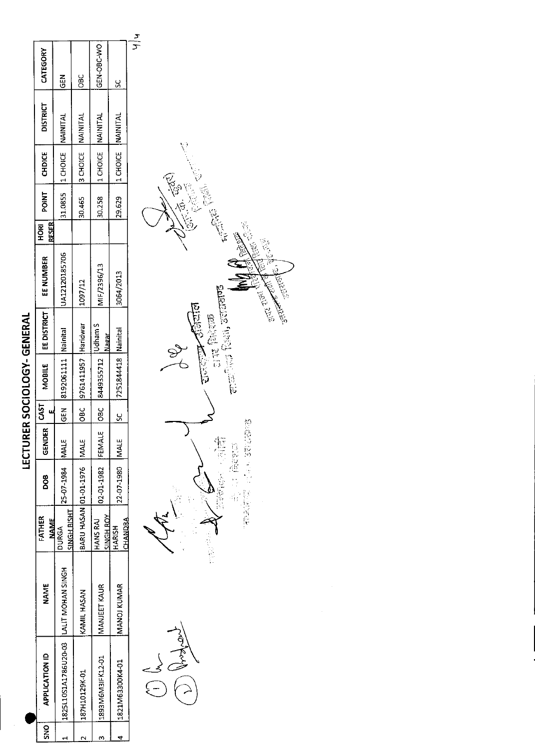| I<br>۱ |  |
|--------|--|
|        |  |
|        |  |
|        |  |
| ١      |  |
|        |  |
|        |  |
|        |  |
|        |  |
|        |  |
|        |  |
|        |  |
|        |  |
| l      |  |
|        |  |
| l      |  |
|        |  |
|        |  |
| I      |  |
|        |  |
|        |  |
|        |  |
|        |  |
|        |  |
|        |  |
| I      |  |
|        |  |

| <b>SNS</b> | <b>APPLICATION ID</b>                   | <b>NAME</b>        | <b>FATHER</b><br><b>NAME</b> | 80<br>Do                   | GENDER | <b>CAST</b> | <b>MOBILE</b>           | EE DISTRICT | EE NUMBER     | HORI  <br>RESER | POINT  | <b>CHDICE</b>                 | <b>DISTRICT</b> | CATEGORY           |
|------------|-----------------------------------------|--------------------|------------------------------|----------------------------|--------|-------------|-------------------------|-------------|---------------|-----------------|--------|-------------------------------|-----------------|--------------------|
|            | 1825L10S1A1786U20-03  LALIT MOHAN SINGH |                    | SINGH BISHT<br><b>DURGA</b>  | 25-07-1984   MALE          |        |             | GEN 8192061111 Nainital |             | UA12120185706 |                 |        | 31.0855   1 CHOICE   NAINITAL |                 | <b>IGEN</b>        |
|            | 187H10129K-01                           | <b>KAMIL HASAN</b> |                              | BARU HASAN 01-01-1976 MALE |        |             | OBC 9761411957 Haridwar |             | 1097/12       |                 | 30.465 | <b>3 CHOICE NAINITAL</b>      |                 | $rac{c}{\sqrt{2}}$ |
|            | 1893M6M3IFK12-01                        | MANJEET KAUR       | <b>SINGH ROY</b><br>HANS RAJ | 02-01-1982 FEMALE          |        |             | OBC 8449355712 Judham S | Nagar       | MIF/2396/13   |                 | 30.258 | 1 CHOICE NAINITAL             |                 | GEN-OBC-WO         |
|            | 1821M63300K4-01                         | MANOJ KUMAR        | CHANDRA<br><b>HARISH</b>     | 22-07-1980   MALE          |        | <u>ي</u>    | 7251844418 Nainital     |             | 3064/2013     |                 | 29.629 | 14 CHOICE NAINITAL            |                 | <u>ي</u><br>ا      |
|            |                                         |                    |                              |                            |        |             |                         |             |               |                 |        |                               |                 | $\frac{1}{\tau}$   |



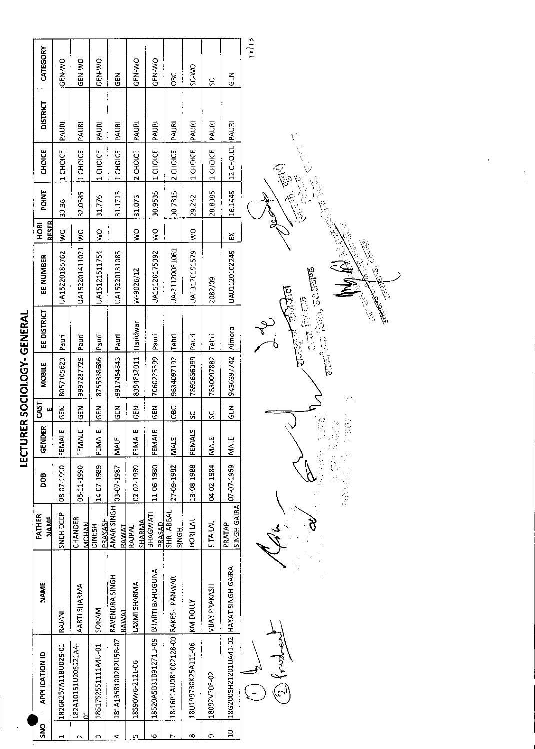| i<br>I<br>I<br>l<br>Ī |
|-----------------------|
|                       |
|                       |
|                       |
|                       |
|                       |
|                       |
|                       |
|                       |
|                       |
|                       |
|                       |
|                       |
|                       |
|                       |
|                       |
|                       |
|                       |
|                       |
|                       |
|                       |
|                       |
|                       |
|                       |
|                       |
| ı                     |
|                       |
|                       |
| i<br>ı<br>ţ           |
|                       |

|            |                                        |                                |                              |            | <br> גנוב         |               | <b>THAIREID - 1977272711</b> |             |                |                      |                  |           |                 |               |
|------------|----------------------------------------|--------------------------------|------------------------------|------------|-------------------|---------------|------------------------------|-------------|----------------|----------------------|------------------|-----------|-----------------|---------------|
| <b>SNO</b> | <b>APPLICATION ID</b>                  | NAME                           | FATHER<br><b>RANT</b>        | BOG        | £<br><b>GEND</b>  | CAST<br>μ     | <b>MOBILE</b>                | EE DISTRICT | EE NUMBER      | RESER<br><b>ROKI</b> | POINT            | CHOICE    | <b>DISTRICT</b> | CATEGORY      |
|            | 1826R257A118U025-01                    | RAJANI                         | SNEH DEEP                    | 08-07-1990 | щ<br>FEMAL        | <b>KEN</b>    | 8057105623                   | Pauri       | UA15220185762  | $\frac{8}{2}$        | 33.36            | 1 CHOICE  | PAURI           | GEN-WO        |
| N          | 182A10151U20S121A4-<br>ă               | AARTI SHARMA                   | CHANDER<br><b>MOHAN</b>      | 05-11-1990 | щ<br>FEMAL        | $\frac{2}{5}$ | 9997287729                   | Pauri       | UA152201411021 | $\frac{8}{2}$        | 32.0585          | 1 CHOICE  | PAURI           | <b>GEN-WO</b> |
| m          | 18517S2551111A4U-01                    | SONAM                          | <b>PRAKASH</b><br>DINESH     | 14-07-1989 | щ<br>FEMAL        | $rac{2}{5}$   | 8755338686                   | Pauri       | UA15121511754  | $\frac{8}{2}$        | 31.776           | 1CHOICE   | PAURI           | GEN-WO        |
| 4          | 181A13581002R2U5R-07                   | RAVENDRA SINGH<br><b>RAWAT</b> | AMAR SINGH<br><b>RAMAT</b>   | 03-07-1987 | <b>IMALE</b>      | <b>SEN</b>    | 9917454845                   | Pauri       | UA15220131085  |                      | 31.1715          | 1 CHOICE  | PAURI           | <b>GEN</b>    |
| Щ          | 18S90W6-2121-06                        | LAXMI SHARMA                   | <b>SHARMA</b><br>RAJPAL      | 02-02-1989 | щ<br><b>FEMAL</b> | <b>N3D</b>    | 8394832011                   | Haridwar    | w-9026/12      | $\frac{1}{2}$        | 31.075           | 2 CHOICE  | PAURI           | GEN-VO        |
| Φ          | 18520A5B31B91271U-09                   | BHARTI BAHUGUNA                | BHAGWATI<br>PRASAD           | 11-06-1980 | ېب<br>FEMAL       | <b>ABD</b>    | 7060225599                   | Pauri       | UA15120175392  | $\frac{8}{2}$        | 30.9535          | 1 CHOICE  | PAURI           | GEN-WO        |
| r          | 18-16P1AU0R1002128-03 RAKESH PANWAR    |                                | SHRI ABBAL<br>山山             | 27-09-1982 | <b>MALE</b>       | $rac{6}{2}$   | 9634097192                   | <b>Tehn</b> | UA-21120081061 |                      | 30.7815          | 2 CHOICE  | PAURI           | <b>SC</b>     |
| œ          | 18U199730K25A111-06                    | <b>KM DOLLY</b>                | HORI LAL                     | 13-08-1988 | بى<br>FEMAI       | <u>ម</u>      | 7895656099                   | Pauri       | UA13120191579  | $\frac{1}{2}$        | 29.242           | 1 CHOICE  | PAURI           | SC-MO         |
| o,         | 18092V208-02                           | VIJAY PRAKASH                  | FITA LAL                     | 04-02-1984 | <b>MALE</b>       | ပ္က           | 7830097882                   | Tehri       | 2082/09        |                      | 28.8385          | 1 CHOICE  | PAURI           | ပ္တ           |
| g          | 18G200SH21201UA41-02 HAYAT SINGH GAIRA |                                | <b>SINGH GAIRA</b><br>PRATAP | 07-07-1969 | <b>MALE</b>       | <b>GEN</b>    | 9456397742                   | Almora      | UA01120102245  | ž                    | 16.1445          | 12 CHOICE | PAURI           | 군<br>이        |
|            | $\subset$                              |                                |                              |            |                   |               |                              |             |                |                      | $\left( \right)$ |           |                 | 16/16         |



 $\bar{\epsilon}$ 

 $\frac{1}{2}$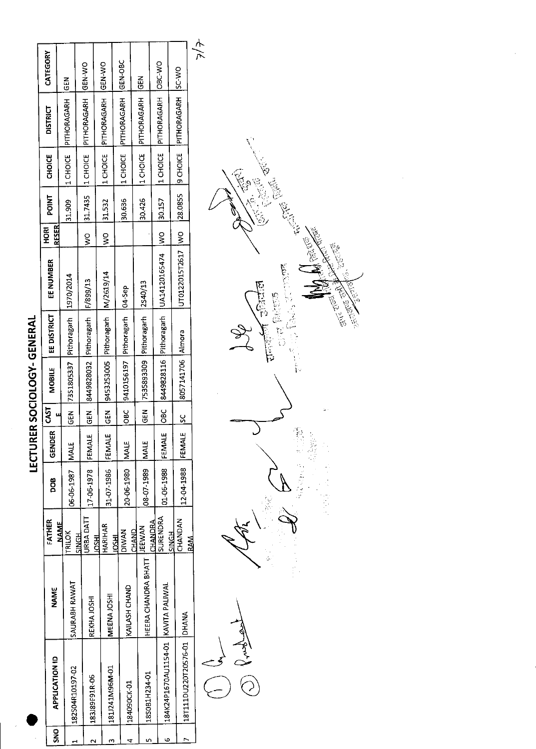| š | <b>APPLICATION ID</b>               | <b>NAME</b>                  | FATHER                    | poe        | <b>GENDER</b> | CAST                 | <b>MOBILE</b>                      | EE DISTRICT         | EE NUMBER         | RESER<br><b>ROH</b> | <b>POINT</b> | <b>CHOICE</b>  | <b>DISTRICT</b>                  | CATEGORY      |
|---|-------------------------------------|------------------------------|---------------------------|------------|---------------|----------------------|------------------------------------|---------------------|-------------------|---------------------|--------------|----------------|----------------------------------|---------------|
|   | 182504R10197-02                     | <b>SAURABH RAWAT</b>         | <b>NAME</b><br>TRILOK     | 06-06-1987 | <b>INALE</b>  | មិ                   | 7351805337 Pithoragarh             |                     | 1970/2014         |                     | 31.909       | 11 CHOICE      | <b>PITHORAGARH</b>               | <b>M3D</b>    |
|   | 183J89F91R-06                       | REKHA JOSHI                  | <b>JRBA DATT</b><br>SINGH | 17-06-1978 | <b>FEMALE</b> | $\frac{2}{5}$        | 8449828032 Pithoragarh   F/899/13  |                     |                   | ş                   | 31.7435      | 11 CHOICE      | PITHORAGARH                      | <b>OM-N35</b> |
|   | 181J241M96M-01                      | MEENAJOSHI                   | HARIHAR<br><b>HSOI</b>    | 31-07-1986 | FEMAL         | $rac{1}{9}$          | 9453253005 Pithoragarh   M/2619/14 |                     |                   | ş                   | 31.532       | 11 CHOICE      | <b>IPITHORAGARH</b>              | <b>CEN-WO</b> |
|   | 184090CK-01                         | KAILASH CHAND                | <b>DIWAN</b><br>щ         | 20-06-1980 | <b>MALE</b>   | $rac{1}{2}$          | 9410156197                         | Pithoragarh 104-Sep |                   |                     | 30,636       |                | 11 CHOICE PITHORAGARH GEN-OBC    |               |
|   | 1850B1H234-01                       | HEERA CHANDRA BHATT   JEEWAN | CHAND                     | 08 07-1989 | <b>IMALE</b>  | $\tilde{\mathbb{F}}$ | 7535893309 Pithoragarh             |                     | 2S40/13           |                     | 30.426       |                | 11 CHOICE PITHORAGARH            | $rac{5}{5}$   |
| ю | 184K24P1670AU1154-01 KAVITA PALIWAI |                              | SURENDRA<br>CHANDRA       | 01-06-1988 | FEMALE        | $rac{6}{6}$          | 8449828116 Pithoragarh             |                     | UA14120165474     | $\frac{8}{2}$       | 30.157       |                | 11 CHOICE   PITHORAGARH   OBC-WO |               |
|   | 18T111DU220T20576-01   DHANA        |                              | CHANDAN<br><b>SINGH</b>   | 12-04-1988 | <b>FEMALE</b> | $\frac{5}{2}$        | 8057141706 Almora                  |                     | JT0122015T2617 WO |                     | 28.0855      | <b>SCHOICE</b> | PITHORAGARH SC-WO                |               |
|   | $\overline{a}$                      |                              | RAM                       |            |               |                      |                                    |                     |                   |                     |              |                |                                  | 大人            |

Jeny C

e.<br>C  $\vec{E}$ **हांचाल** ARCED  $\frac{1}{12}$ **25.23 M**<br>S रागती है।<br>स्रोत V i<br>P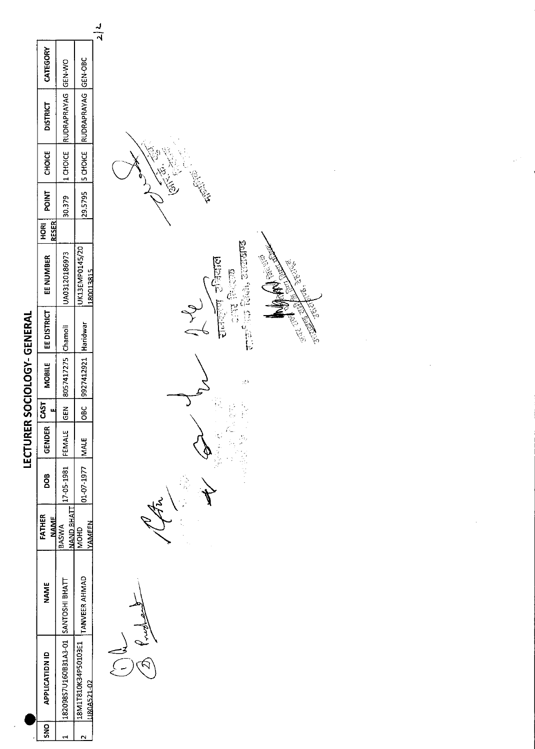|                       |                                     |                                            | $\frac{2}{\sqrt{2}}$ |
|-----------------------|-------------------------------------|--------------------------------------------|----------------------|
| CATEGORY              |                                     |                                            |                      |
| <b>DISTRICT</b>       | 1 CHOICE RUDRAPRAYAG GEN-WO         | 29.5795   5 CHOICE   RUDRAPRAYAG   GEN-OBC |                      |
| CHOICE                |                                     |                                            | Egi<br>Egi           |
| <b>POINT</b>          | 30.379                              |                                            |                      |
| RESER<br>HORI         |                                     |                                            |                      |
| EE NUMBER             | UA03120186973                       | UK13EMP0145/20<br>180013815                |                      |
| EEDISTRICT            |                                     |                                            |                      |
| <b>MOBILE</b>         | GEN 8057417275 Chamoli              | OBC  9927412921  Haridwar                  |                      |
| <b>GAST</b>           |                                     |                                            |                      |
| <b>GENDER</b>         |                                     |                                            |                      |
| oo<br>B               | 17-05-1981 FEMALE                   | 01-07-1977   MALE                          |                      |
| FATHER<br><b>NAME</b> | NAND BHATT<br><b>BASWA</b>          | YAMEEN<br><b>OHOM</b>                      |                      |
| <b>NAME</b>           |                                     | TANVEER AHMAD                              |                      |
| <b>APPLICATIDN ID</b> | 182098S7U160B31A3-01 SANTOSHI BHATT | 18M1T810K34P50103E1<br>U80A521-02          |                      |
| ioks                  |                                     |                                            |                      |
|                       |                                     |                                            |                      |

.<br>تر रामकूल उनिया**ल**<br>इ.स. विश्वक<br>राज<sup>ा</sup>र शिक्ष, उक्तस्वर्ण्ड **Article Bree** م فيها<br>التي **CONTROLLER** at.  $\frac{1}{2}$  $\frac{1}{2} \sum_{i=1}^{n} \frac{1}{2} \sum_{j=1}^{n} \frac{1}{2} \sum_{j=1}^{n} \frac{1}{2} \sum_{j=1}^{n} \frac{1}{2} \sum_{j=1}^{n} \frac{1}{2} \sum_{j=1}^{n} \frac{1}{2} \sum_{j=1}^{n} \frac{1}{2} \sum_{j=1}^{n} \frac{1}{2} \sum_{j=1}^{n} \frac{1}{2} \sum_{j=1}^{n} \frac{1}{2} \sum_{j=1}^{n} \frac{1}{2} \sum_{j=1}^{n} \frac{1}{2} \sum_{j=1}^{n$ 125年<br>1月1日  $\bigg\}$ 

**READER**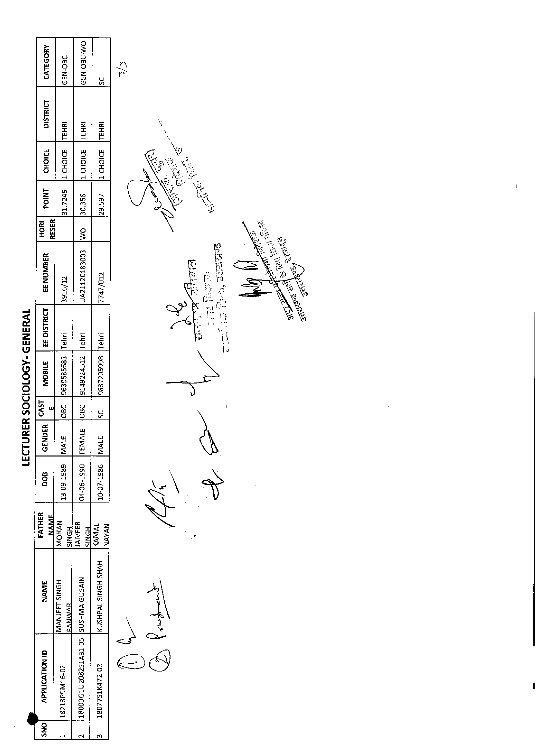| I |
|---|
|   |
|   |
| I |
| ı |
|   |
|   |
| ۱ |
|   |
|   |
|   |
|   |
|   |
|   |
|   |
|   |
|   |
|   |
|   |
| ı |
|   |
|   |
|   |
| l |
|   |
| I |
|   |

| <b>SNO</b> | <b>APPLICATION ID</b>              | NAME                    | FATHER<br><b>NAME</b>           | DOB<br>D         | <b>ADER</b><br>Ğ | CAST | <b>MOBILE</b>                   | $E$ district | EE NUMBER                 | $rac{R}{2}$ | POINT  | CHOICE                     | <b>DISTRICT</b> | CATEGORY              |
|------------|------------------------------------|-------------------------|---------------------------------|------------------|------------------|------|---------------------------------|--------------|---------------------------|-------------|--------|----------------------------|-----------------|-----------------------|
|            | 18213P9M16-02                      | MANJEET SINGH<br>PANWAR | MOHAN<br>SINGH                  | 13-09-1989 MALE  |                  |      | OBC 19639585683 Tehri           |              | 3916/12                   | RESER       |        | 31.7245   1 CHOICE   TEHRI |                 | GEN-DBC               |
|            | I8003G1U2082S1A31-05 SUSHMA GUSAIN |                         | <b>IAIVEER</b><br><b>RIDIGH</b> | D4-06-1990 FEM   |                  |      | MALE   OBC   9149224512   Tehri |              | UA21120183003  WO  30.356 |             |        | 1 CHOICE TEHRI             |                 | GEN-OBC-WO            |
|            | 18077S1K472-02                     | KUSHPAL SINGH SHAH      | <b>NAYAN</b><br>KAMAL           | 10-07-1986   MAL | ш                | sc   | 9837205998 Tehri                |              | 7747/012                  |             | 29.597 | 1 CHOICE TEHRI             |                 | <u>ყ</u>              |
|            |                                    |                         |                                 |                  |                  |      |                                 |              |                           |             | (      |                            |                 | $\zeta_{\mathcal{L}}$ |

Jenton 5  $\overset{\text{c}}{=}$  $\widehat{\epsilon}$ 

**Canada PERE** FERENT ensing Cost, consider ķ fe, e **REAL PROPERTY** .<br>Fi É, J

ŗ.